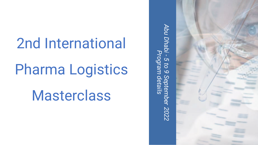## 2nd International

## Pharma Logistics

**Masterclass** 

*Abu Dhabi*  **Abu Dhab** Program d *Program details- 5 to 9 September 2022* Sep mber 2022

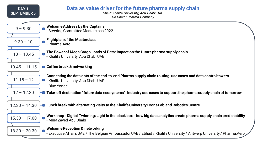| DAY <sub>1</sub><br><b>SEPTEMBER 5</b> | Data as value driver for the future pharma supply chain<br>Chair: Khalifa University, Abu Dhabi UAE<br>Co-Chair: Pharma Company                                    |
|----------------------------------------|--------------------------------------------------------------------------------------------------------------------------------------------------------------------|
| $9 - 9.30$                             | <b>Welcome Address by the Captains</b><br>- Steering Committee Masterclass 2022                                                                                    |
| $9.30 - 10$                            | <b>Flightplan of the Masterclass</b><br>- Pharma.Aero                                                                                                              |
| $10 - 10.45$                           | The Power of Mega Cargo Loads of Data: impact on the future pharma supply chain<br>- Khalifa University, Abu Dhabi UAE                                             |
| $10.45 - 11.15$                        | <b>O</b> Coffee break & networking                                                                                                                                 |
| $11.15 - 12$                           | Connecting the data dots of the end-to-end Pharma supply chain routing: use cases and data control towers<br>- Khalifa University, Abu Dhabi UAE<br>- Blue Yondel  |
| $12 - 12.30$                           | $\blacksquare$ Take-off destination "future data ecosystems": industry use cases to support the pharma supply chain of tomorrow                                    |
| $12.30 - 14.30$                        | <b>• Lunch break with alternating visits to the Khalifa University Drone Lab and Robotics Centre</b>                                                               |
| $15.30 - 17.00$                        | Workshop - Digital Twinning: Light in the black box - how big data analytics create pharma supply chain predictability<br>- Mina Zayed Abu Dhabi                   |
| $18.30 - 20.30$                        | <b>Welcome Reception &amp; networking</b><br>- Executive Affairs UAE / The Belgian Ambassador UAE / Etihad / Khalifa University / Antwerp University / Pharma.Aero |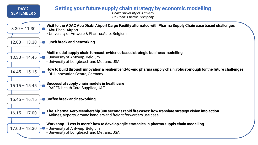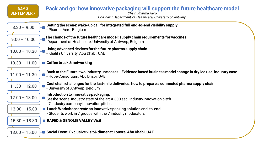| DAY <sub>3</sub><br><b>SEPTEMBER7</b> | Pack and go: how innovative packaging will support the future healthcare model<br>Chair: Pharma.Aero<br>Co-Chair: Department of Healthcare, University of Antwerp |  |
|---------------------------------------|-------------------------------------------------------------------------------------------------------------------------------------------------------------------|--|
| $8.30 - 9.00$                         | Setting the scene: wake-up call for integrated full end-to-end visibility supply<br>- Pharma. Aero, Belgium                                                       |  |
| $9.00 - 10.00$                        | The change of the future healthcare model: supply chain requirements for vaccines<br>- Department of Healthcare, University of Antwerp, Belgium                   |  |
| $10.00 - 10.30$                       | Using advanced devices for the future pharma supply chain<br>- Khalifa University, Abu Dhabi, UAE                                                                 |  |
| $10.30 - 11.00$                       | <b>O</b> Coffee break & networking                                                                                                                                |  |
| $11.00 - 11.30$                       | Back to the Future: two industry use cases - Evidence based business model change in dry ice use, industry case<br>- Hope Consortium, Abu Dhabi, UAE              |  |
| $11.30 - 12.00$                       | Cool chain challenges for the last-mile deliveries: how to prepare a connected pharma supply chain<br>- University of Antwerp, Belgium                            |  |
| $12.00 - 13.00$                       | Introduction to innovative packaging:<br>Set the scene: industry state of the art & 300 sec. industry innovation pitch<br>- 7 industry company innovation pitches |  |
| $13.00 - 15.00$                       | <b>E</b> Lunch Workshop: create an innovative packing solution end-to-end<br>- Students work in 7 groups with the 7 industry moderators                           |  |
| $15.30 - 18.30$                       | <b>RAFED &amp; GENOME VALLEY Visit</b>                                                                                                                            |  |
| $13.00 - 15.00$                       | <b>■ Social Event: Exclusive visit &amp; dinner at Louvre, Abu Dhabi, UAE</b>                                                                                     |  |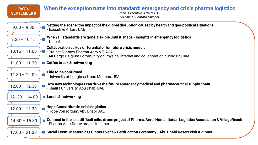| DAY 4<br><b>SEPTEMBER 8</b> | When the exception turns into standard: emergency and crisis pharma logistics<br><b>Chair: Executive Affairs UAE</b><br>Co-Chair: Pharma Shipper                                              |
|-----------------------------|-----------------------------------------------------------------------------------------------------------------------------------------------------------------------------------------------|
| $9.00 - 9.30$               | Setting the scene: the impact of the global disruption caused by health and geo-political situations<br>- Executive Affairs UAE                                                               |
| $9.30 - 10.15$              | When all standards are gone: flexible until it snaps - insights in emergency logitistics<br>- Unicef                                                                                          |
| $10.15 - 11.00$             | Collaboration as key differentiator for future crisis models<br>- Project Sunrays Pharma. Aero & TIACA<br>- Air Cargo Belgium Community on Physical Internet and collaboration during BruCure |
| $11.00 - 11.30$             | <b>■ Coffee break &amp; networking</b>                                                                                                                                                        |
| $11.30 - 12.00$             | Title to be confirmed<br>- University of Longbeach and Metrans, USA                                                                                                                           |
| $12.00 - 12.30$             | How new technologies can drive the future emergency medical and pharmaceutical supply chain<br>- Khalifa University, Abu Dhabi UAE                                                            |
| $1230 - 14.00$              | <b>D</b> Lunch & networking                                                                                                                                                                   |
| $12.00 - 12.30$             | Hope Consortium in crisis logistics<br>- Hope Consortium, Abu Dhabi UAE                                                                                                                       |
| $14.30 - 16.30$             | Connect to the last difficult mile: drone project of Pharma. Aero, Humanitarian Logistics Association & VillageReach<br>- Pharma. Aero Drone project insights                                 |
| $17.00 - 21.30$             | ■ Social Event: Masterclass Dinner Event & Certification Ceremony - Abu Dhabi Desert visit & dinner                                                                                           |